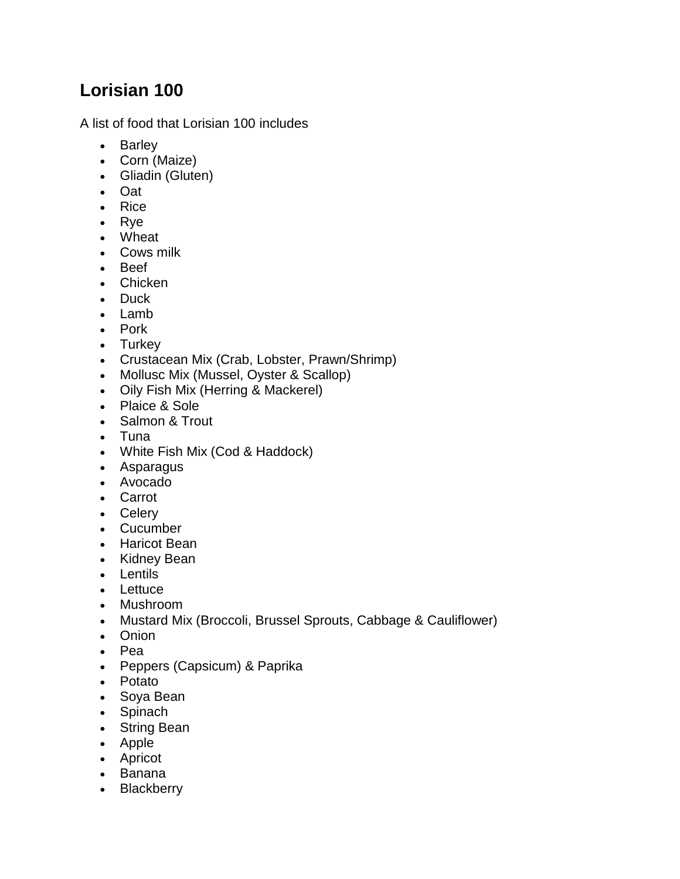## **Lorisian 100**

A list of food that Lorisian 100 includes

- Barley
- Corn (Maize)
- Gliadin (Gluten)
- Oat
- Rice
- Rve
- Wheat
- Cows milk
- Beef
- Chicken
- Duck
- $\cdot$  lamb
- Pork
- Turkey
- Crustacean Mix (Crab, Lobster, Prawn/Shrimp)
- Mollusc Mix (Mussel, Oyster & Scallop)
- Oily Fish Mix (Herring & Mackerel)
- Plaice & Sole
- Salmon & Trout
- Tuna
- White Fish Mix (Cod & Haddock)
- Asparagus
- Avocado
- Carrot
- Celery
- Cucumber
- Haricot Bean
- Kidney Bean
- Lentils
- Lettuce
- Mushroom
- Mustard Mix (Broccoli, Brussel Sprouts, Cabbage & Cauliflower)
- Onion
- Pea
- Peppers (Capsicum) & Paprika
- Potato
- Soya Bean
- Spinach
- String Bean
- Apple
- Apricot
- Banana
- Blackberry